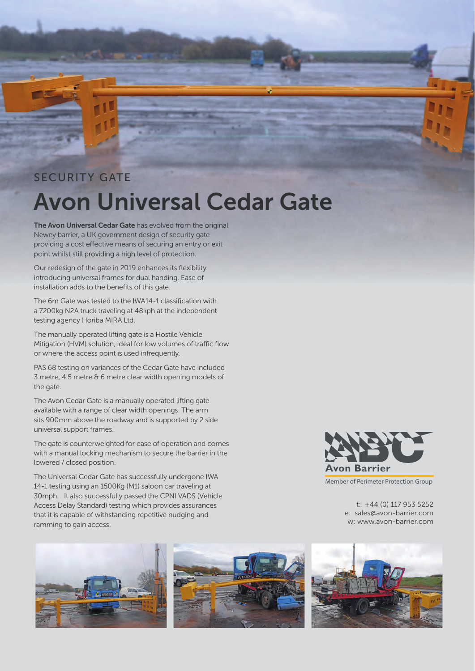## SECURITY GATE **Avon Universal Cedar Gate**

**The Avon Universal Cedar Gate** has evolved from the original Newey barrier, a UK government design of security gate providing a cost effective means of securing an entry or exit point whilst still providing a high level of protection.

Our redesign of the gate in 2019 enhances its flexibility introducing universal frames for dual handing. Ease of installation adds to the benefits of this gate.

The 6m Gate was tested to the IWA14-1 classification with a 7200kg N2A truck traveling at 48kph at the independent testing agency Horiba MIRA Ltd.

The manually operated lifting gate is a Hostile Vehicle Mitigation (HVM) solution, ideal for low volumes of traffic flow or where the access point is used infrequently.

PAS 68 testing on variances of the Cedar Gate have included 3 metre, 4.5 metre & 6 metre clear width opening models of the gate.

The Avon Cedar Gate is a manually operated lifting gate available with a range of clear width openings. The arm sits 900mm above the roadway and is supported by 2 side universal support frames.

The gate is counterweighted for ease of operation and comes with a manual locking mechanism to secure the barrier in the lowered / closed position.

The Universal Cedar Gate has successfully undergone IWA 14-1 testing using an 1500Kg (M1) saloon car traveling at 30mph. It also successfully passed the CPNI VADS (Vehicle Access Delay Standard) testing which provides assurances that it is capable of withstanding repetitive nudging and ramming to gain access.







t: +44 (0) 117 953 5252 e: sales@avon-barrier.com w: www.avon-barrier.com